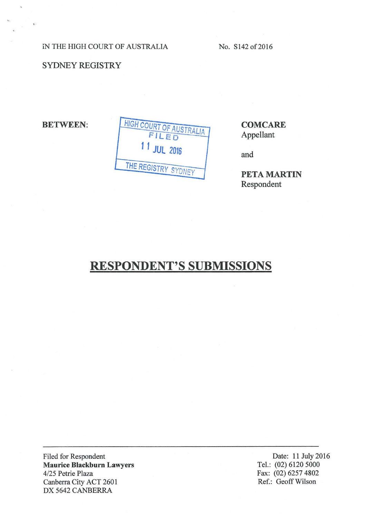IN THE HIGH COURT OF AUSTRALIA

No. S142 of 2016

# SYDNEY REGISTRY

**BETWEEN:** 



**COMCARE** Appellant

and

PETA MARTIN Respondent

# RESPONDENT'S SUBMISSIONS

Filed for Respondent Maurice Blackburn Lawyers 4/25 Petrie Plaza Canberra City ACT 2601 DX 5642 CANBERRA

Date: 11 July 2016 Tel.: (02) 6120 5000 Fax: (02) 6257 4802 Ref.: Geoff Wilson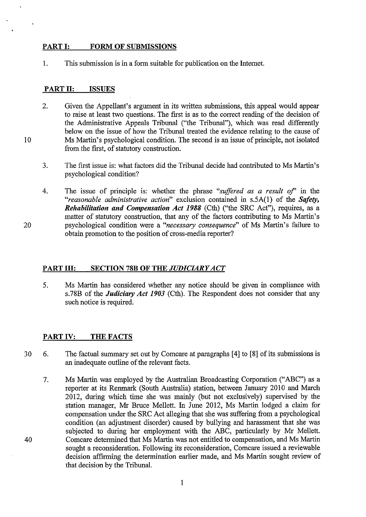# **PART I: FORM OF SUBMISSIONS**

1. This submission is in a form suitable for publication on the Internet.

# **PART II: ISSUES**

- 2. Given the Appellant's argument in its written submissions, this appeal would appear to raise at least two questions. The first is as to the correct reading of the decision of the Administrative Appeals Tribunal ("the Tribunal"), which was read differently below on the issue of how the Tribunal treated the evidence relating to the cause of Ms Martin's psychological condition. The second is an issue of principle, not isolated from the first, of statutory construction.
- 3. The first issue is: what factors did the Tribunal decide had contributed to Ms Martin's psychological condition?
- 4. The issue of principle is: whether the phrase *"suffered as a result of'* in the *"reasonable administrative action"* exclusion contained in s.5A(1) of the *Safety, Rehabilitation and Compensation Act 1988* (Cth) ("the SRC Act"), requires, as a matter of statutory construction, that any of the factors contributing to Ms Martin's psychological condition were a *"necessary consequence"* of Ms Martin's failure to obtain promotion to the position of cross-media reporter?

# **PART III: SECTION 78B OF THE** *JUDICIARY ACT*

5. Ms Martin has considered whether any notice should be given in compliance with s.78B of the *Judiciary Act 1903* (Cth). The Respondent does not consider that any such notice is required.

# **PART IV: THE FACTS**

- 30 6. The factual summary set out by Comcare at paragraphs [4] to [8] of its submissions is an inadequate outline of the relevant facts.
	- 7. Ms Martin was employed by the Australian Broadcasting Corporation ("ABC") as a reporter at its Renmark (South Australia) station, between January 2010 and March 2012, during which time she was mainly (but not exclusively) supervised by the station manager, Mr Bruce Mellett. In June 2012, Ms Martin lodged a claim for compensation under the SRC Act alleging that she was suffering from a psychological condition (an adjustment disorder) caused by bullying and harassment that she was subjected to during her employment with the ABC, particularly by Mr Mellett. Comcare determined that Ms Martin was not entitled to compensation, and Ms Martin sought a reconsideration. Following its reconsideration, Comcare issued a reviewable decision affirming the determination earlier made, and Ms Martin sought review of that decision by the Tribunal.

10

40

20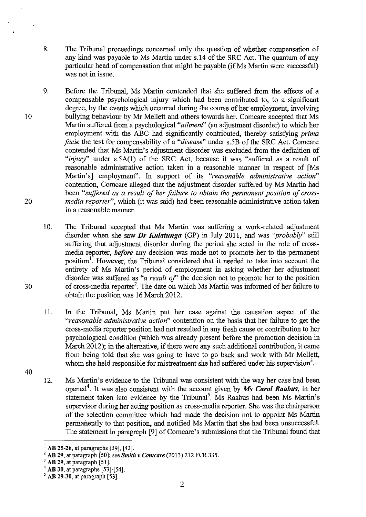- 8. The Tribunal proceedings concerned only the question of whether compensation of any kind was payable to Ms Martin under s.14 of the SRC Act. The quantum of any particular head of compensation that might be payable (if Ms Martin were successful) was not in issue.
- 9. Before the Tribunal, Ms Martin contended that she suffered from the effects of a compensable psychological injury which had been contributed to, to a significant degree, by the events which occurred during the course of her employment, involving bullying behaviour by Mr Mellett and others towards her. Comcare accepted that Ms Martin suffered from a psychological *"ailment"* (an adjustment disorder) to which her employment with the ABC had significantly contributed, thereby satisfying *prima facie* the test for compensability of a *"disease"* under s.5B of the SRC Act. Comcare contended that Ms Martin's adjustment disorder was excluded from the definition of *"injury"* under s.5A(1) of the SRC Act, because it was "suffered as a result of reasonable administrative action taken in a reasonable manner in respect of [Ms Martin's] employment". In support of its *"reasonable administrative action"*  contention, Comcare alleged that the adjustment disorder suffered by Ms Martin had been *"suffered as a result of her failure to obtain the permanent position of crossmedia reporter",* which (it was said) had been reasonable administrative action taken in a reasonable manner.
	- 10. The Tribunal accepted that Ms Martin was suffering a work-related adjustment disorder when she saw *Dr Kulatunga* (GP) in July 2011, and was *"probably"* still suffering that adjustment disorder during the period she acted in the role of crossmedia reporter, *before* any decision was made not to promote her to the permanent position<sup>1</sup>. However, the Tribunal considered that it needed to take into account the entirety of Ms Martin's period of employment in asking whether her adjustment disorder was suffered as *"a result of'* the decision not to promote her to the position of cross-media reporter<sup>2</sup>. The date on which Ms Martin was informed of her failure to obtain the position was 16 March 2012.
	- 11. In the Tribunal, Ms Martin put her case against the causation aspect of the *"reasonable administrative action"* contention on the basis that her failure to get the cross-media reporter position had not resulted in any fresh cause or contribution to her psychological condition (which was already present before the promotion decision in March 2012); in the alternative, if there were any such additional contribution, it came from being told that she was going to have to go back and work with Mr Mellett, whom she held responsible for mistreatment she had suffered under his supervision<sup>3</sup>.
	- 12. Ms Martin's evidence to the Tribunal was consistent with the way her case had been opened<sup>4</sup>. It was also consistent with the account given by *Ms Carol Raabus*, in her statement taken into evidence by the Tribunal<sup>5</sup>. Ms Raabus had been Ms Martin's supervisor during her acting position as cross-media reporter. She was the chairperson of the selection committee which had made the decision not to appoint Ms Martin permanently to that position, and notified Ms Martin that she had been unsuccessful. The statement in paragraph [9] of Comcare's submissions that the Tribunal found that

10

20

30

AB 25-26, at paragraphs [39], [42].

*<sup>2</sup>* **AB 29**, at paragraph [50]; see *Smith v Comcare* (2013) 212 FCR 335. <br><sup>3</sup> **AB 29**, at paragraph [51]. <sup>4</sup> **AB 30**, at paragraphs [53]-[54].

*<sup>5</sup>*AB 29-30, at paragraph [53].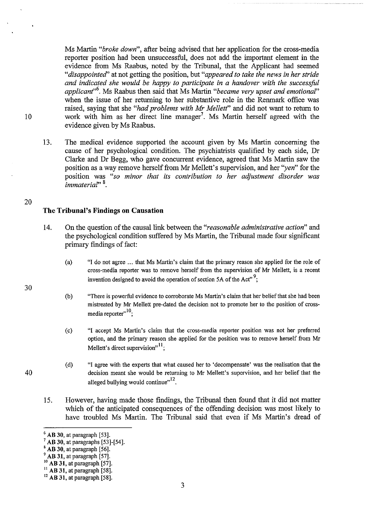Ms Martin *"broke down",* after being advised that her application for the cross-media reporter position had been unsuccessful, does not add the important element in the evidence from Ms Raabus, noted by the Tribunal, that the Applicant had seemed *"disappointed'* at not getting the position, but *"appeared to take the news in her stride and indicated she would be happy to participate in a handover with the successful applicant"*<sup>6</sup> • Ms Raabus then said that Ms Martin *"became very upset and emotionaf'*  when the issue of her returning to her substantive role in the Renmark office was raised, saying that she *"had problems with Mr Mellett"* and did not want to return to work with him as her direct line manager<sup>7</sup>. Ms Martin herself agreed with the evidence given by Ms Raabus.

13. The medical evidence supported the account given by Ms Martin concerning the cause of her psychological condition. The psychiatrists qualified by each side, Dr Clarke and Dr Begg, who gave concurrent evidence, agreed that Ms Martin saw the position as a way remove herself from Mr Mellett's supervision, and her *"yen"* for the position was *"so minor that its contribution to her adjustment disorder was immateriaT'* <sup>8</sup> .

#### 20

10

#### **The Tribunal's Findings on Causation**

- 14. On the question of the causal link between the *"reasonable administrative action"* and the psychological condition suffered by Ms Martin, the Tribunal made four significant primary findings of fact:
	- (a) "! do not agree ... that Ms Martin's claim that the primary reason she applied for the role of cross-media reporter was to remove herself from the supervision of Mr Mellett, is a recent invention designed to avoid the operation of section 5A of the Act<sup>3</sup>;
	- (b) "There is powerful evidence to corroborate Ms Martin's claim that her belief that she had been mistreated by Mr Mellett pre-dated the decision not to promote her to the position of crossmedia reporter"<sup>10</sup>;
	- (c) "I accept Ms Martin's claim that the cross-media reporter position was not her preferred option, and the primary reason she applied for the position was to remove herself from Mr Mellett's direct supervision"<sup>11</sup>;
	- (d) "I agree with the experts that what caused her to 'decompensate' was the realisation that the decision meant she would be returning to Mr Mellett's supervision, and her belief that the alleged bullying would continue".<sup>12</sup>.
- 15. However, having made those findings, the Tribunal then found that it did not matter which of the anticipated consequences of the offending decision was most likely to have troubled Ms Martin. The Tribunal said that even if Ms Martin's dread of

40

<sup>6</sup>**AB** 30, at paragraph [53]. 7 **AB** 30, at paragraphs [53]-[54].

<sup>8</sup>**AB** 30, at paragraph [56]. 9 AB **31,** at paragraph [57].

<sup>10</sup>**AB 31,** at paragraph [57].

<sup>11</sup>**AB 31,** at paragraph [58].

<sup>12</sup>**AB 31,** at paragraph [58].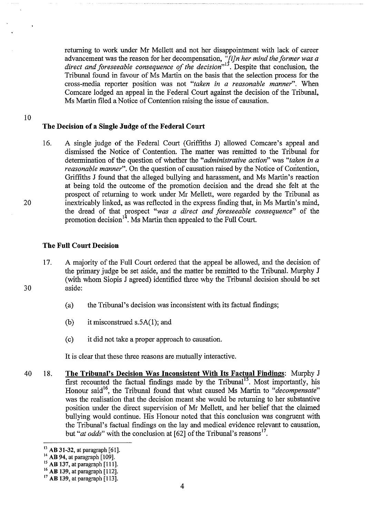returning to work under Mr Mellett and not her disappointment with lack of career advancement was the reason for her decompensation, *'[iJn her mind the former was a*  direct and foreseeable consequence of the decision<sup>"13</sup>. Despite that conclusion, the Tribunal found in favour of Ms Martin on the basis that the selection process for the cross-media reporter position was not *"taken* in *a reasonable manner".* When Comcare lodged an appeal in the Federal Court against the decision of the Tribunal, Ms Martin filed a Notice of Contention raising the issue of causation.

10

20

30

# The Decision of a Single Judge of the Federal Court

16. A single judge of the Federal Court (Griffiths J) allowed Comcare's appeal and dismissed the Notice of Contention. The matter was remitted to the Tribunal for determination of the question of whether the *"administrative action"* was *"taken* in *a reasonable manner".* On the question of causation raised by the Notice of Contention, Griffiths J found that the alleged bullying and harassment, and Ms Martin's reaction at being told the outcome of the promotion decision and the dread she felt at the prospect of returning to work under Mr Mellett, were regarded by the Tribunal as inextricably linked, as was reflected in the express finding that, in Ms Martin's mind, the dread of that prospect *"was a direct and foreseeable consequence"* of the promotion decision<sup>14</sup>. Ms Martin then appealed to the Full Court.

## The Full Court Decision

- 17. A majority of the Full Court ordered that the appeal be allowed, and the decision of the primary judge be set aside, and the matter be remitted to the Tribunal. Murphy J (with whom Siopis J agreed) identified three why the Tribunal decision should be set aside:
	- (a) the Tribunal's decision was inconsistent with its factual fmdings;
	- (b) it misconstrued s.5 $A(1)$ ; and
	- (c) it did not take a proper approach to causation.

40 18. The Tribunal's Decision Was Inconsistent With Its Factual Findings: Murphy J first recounted the factual findings made by the Tribunal<sup>15</sup>. Most importantly, his Honour said<sup>16</sup>, the Tribunal found that what caused Ms Martin to "decompensate" was the realisation that the decision meant she would be returning to her substantive position under the direct supervision of Mr Mellett, and her belief that the claimed bullying would continue. His Honour noted that this conclusion was congruent with the Tribunal's factual findings on the lay and medical evidence relevant to causation, but "*at odds*" with the conclusion at [62] of the Tribunal's reasons<sup>17</sup>.

It is clear that these three reasons are mutually interactive.

<sup>&</sup>lt;sup>13</sup> **AB 31-32, at paragraph** [61].<br><sup>14</sup> **AB 94, at paragraph** [109].

<sup>&</sup>lt;sup>15</sup> AB 137, at paragraph [111].

<sup>16</sup> AB 139, at paragraph [112].

<sup>17</sup>AB 139, at paragraph [113].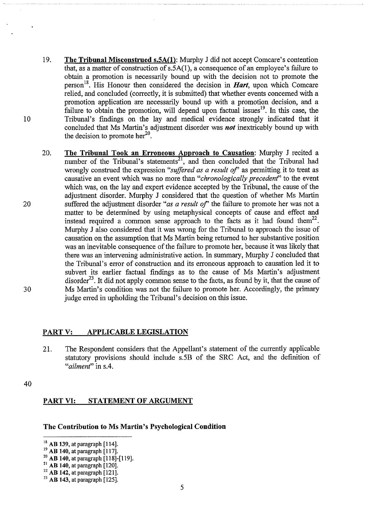- 19. **The Tribunal Misconstrued s.SA(l):** Murphy J did not accept Comcare's contention that, as a matter of construction of s.5A(l ), a consequence of an employee's failure to obtain a promotion is necessarily bound up with the decision not to promote the person 18• His Honour then considered the decision in *Hart,* upon which Comcare relied, and concluded (correctly, it is submitted) that whether events concerned with a promotion application are necessarily bound up with a promotion decision, and a failure to obtain the promotion, will depend upon factual issues  $19<sup>19</sup>$ . In this case, the Tribunal's findings on the lay and medical evidence strongly indicated that it concluded that Ms Martin's adjustment disorder was *not* inextricably bound up with the decision to promote her<sup>20</sup>.
- 20. **The Tribunal Took an Erroneous Approach to Causation:** Murphy J recited a number of the Tribunal's statements<sup>21</sup>, and then concluded that the Tribunal had wrongly constmed the expression *"suffered as a result of'* as permitting it to treat as causative an event which was no more than *"chronologically precedent"* to the event which was, on the lay and expert evidence accepted by the Tribunal, the cause of the adjustment disorder. Murphy **J** considered that the question of whether Ms Martin suffered the adjustment disorder *"as a result of'* the failure to promote her was not a matter to be determined by using metaphysical concepts of cause and effect and instead required a common sense approach to the facts as it had found them<sup>22</sup>. Murphy **J** also considered that it was wrong for the Tribunal to approach the issue of causation on the assumption that Ms Martin being returned to her substantive position was an inevitable consequence of the failure to promote her, because it was likely that there was an intervening administrative action. In summary, Murphy J concluded that the Tribunal's error of construction and its erroneous approach to causation led it to subvert its earlier factual findings as to the cause of Ms Martin's adjustment disorder<sup>23</sup>. It did not apply common sense to the facts, as found by it, that the cause of Ms Martin's condition was not the failure to promote her. Accordingly, the primary judge erred in upholding the Tribunal's decision on this issue.

## **PARTV: APPLICABLE LEGISLATION**

21. The Respondent considers that the Appellant's statement of the currently applicable statutory provisions should include s.5B of the SRC Act, and the definition of *"ailmenf'* in s.4.

40

10

20

30

## **PART VI: STATEMENT OF ARGUMENT**

#### **The Contribution to Ms Martin's Psychological Condition**

<sup>&</sup>lt;sup>18</sup> AB 139, at paragraph [114].

<sup>19</sup>**AB 140,** at paragraph [117].

<sup>20</sup>**AB 140,** at paragraph [118]-[119]. 21 **AB 140,** at paragraph [120]. 22 **AB 142,** at paragraph [121].

<sup>23</sup>**AB 143,** at paragraph [125].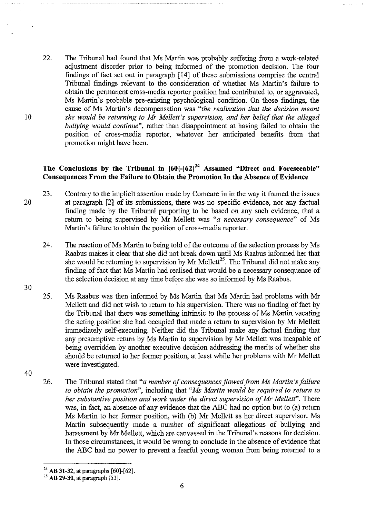22. The Tribunal had found that Ms Martin was probably suffering from a work-related adjustment disorder prior to being informed of the promotion decision. The four findings of fact set out in paragraph [14] of these submissions comprise the central Tribunal findings relevant to the consideration of whether Ms Martin's failure to obtain the permanent cross-media reporter position had contributed to, or aggravated, Ms Martin's probable pre-existing psychological condition. On those findings, the cause of Ms Martin's decompensation was *"the realisation that the decision meant she would be returning to Mr Mellett's supervision, and her belief that the alleged bullying would continue",* rather than disappointment at having failed to obtain the position of cross-media reporter, whatever her anticipated benefits from that promotion might have been.

# **The Conclusions by the Tribunal in [60]-[62)24 Assumed "Direct and Foreseeable" Consequences From the Failure to Obtain the Promotion In the Absence of Evidence**

- 23. Contrary to the implicit assertion made by Comcare in in the way it framed the issues at paragraph [2] of its submissions, there was no specific evidence, nor any factual finding made by the Tribunal purporting to be based on any such evidence, that a return to being supervised by Mr Mellett was *"a necessary consequence"* of Ms Martin's failure to obtain the position of cross-media reporter.
	- 24. The reaction of Ms Martin to being told of the outcome of the selection process by Ms Raabus makes it clear that she did not break down until Ms Raabus informed her that she would be returning to supervision by Mr Mellett<sup>25</sup>. The Tribunal did not make any finding of fact that Ms Martin had realised that would be a necessary consequence of the selection decision at any time before she was so informed by Ms Raabus.
	- 25. Ms Raabus was then informed by Ms Martin that Ms Martin had problems with Mr Mellett and did not wish to return to his supervision. There was no finding of fact by the Tribunal that there was something intrinsic to the process of Ms Martin vacating the acting position she had occupied that made a return to supervision by Mr Mellett immediately self-executing. Neither did the Tribunal make any factual finding that any presumptive return by Ms Martin to supervision by Mr Mellett was incapable of being overridden by another executive decision addressing the merits of whether she should be returned to her former position, at least while her problems with Mr Mellett were investigated.
- 40

10

20

30

26. The Tribunal stated that *"a number of consequences flowed from Ms Martin's failure to obtain the promotion",* including that *"Ms Martin would be required to return to her substantive position and work under the direct supervision of Mr Mellett".* There was, in fact, an absence of any evidence that the ABC had no option but to (a) return Ms Martin to her former position, with (b) Mr Mellett as her direct supervisor. Ms Martin subsequently made a number of significant allegations of bullying and harassment by Mr Mellett, which are canvassed in the Tribunal's reasons for decision. In those circumstances, it would be wrong to conclude in the absence of evidence that the ABC had no power to prevent a fearful young woman from being returned to a

<sup>&</sup>lt;sup>24</sup> AB 31-32, at paragraphs [60]-[62].<br><sup>25</sup> AB 29-30, at paragraph [53].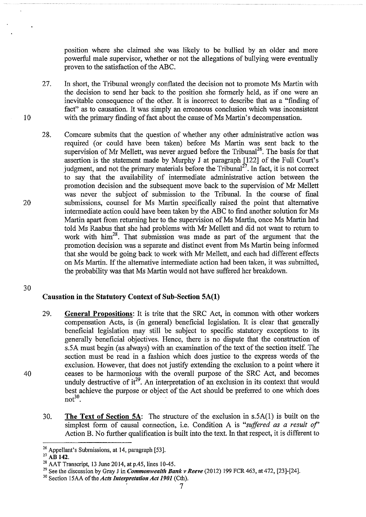position where she claimed she was likely to be bullied by an older and more powerful male supervisor, whether or not the allegations of bullying were eventually proven to the satisfaction of the ABC.

- 27. In short, the Tribunal wrongly conflated the decision not to promote Ms Martin with the decision to send her back to the position she formerly held, as if one were an inevitable consequence of the other. It is incorrect to describe that as a "finding of fact" as to causation. It was simply an erroneous conclusion which was inconsistent with the primary finding of fact about the cause of Ms Martin's decompensation.
- 28. Comcare submits that the question of whether any other administrative action was required (or could have been taken) before Ms Martin was sent back to the supervision of Mr Mellett, was never argued before the Tribunal<sup>26</sup>. The basis for that assertion is the statement made by Murphy J at paragraph [122] of the Full Court's judgment, and not the primary materials before the Tribunal<sup>27</sup>. In fact, it is not correct to say that the availability of intermediate administrative action between the promotion decision and the subsequent move back to the supervision of Mr Mellett was never the subject of submission to the Tribunal. In the course of final submissions, counsel for Ms Martin specifically raised the point that alternative intermediate action could have been taken by the ABC to find another solution for Ms Martin apart from returning her to the supervision of Ms Martin, once Ms Martin had told Ms Raabus that she had problems with Mr Mellett and did not want to return to work with  $\lim_{n \to \infty} 28$ . That submission was made as part of the argument that the promotion decision was a separate and distinct event from Ms Martin being informed that she would be going back to work with Mr Mellett, and each had different effects on Ms Martin. If the alternative intermediate action had been taken, it was submitted, the probability was that Ms Martin would not have suffered her breakdown.

#### 30

40

10

20

#### Causation in the Statutory Context of Sub-Section SA(l)

- 29. General Propositions: It is trite that the SRC Act, in common with other workers compensation Acts, is (in general) beneficial legislation. It is clear that generally beneficial legislation may still be subject to specific statutory exceptions to its generally beneficial objectives. Hence, there is no dispute that the construction of s.SA must begin (as always) with an examination of the text of the section itself. The section must be read in a fashion which does justice to the express words of the exclusion. However, that does not justify extending the exclusion to a point where it ceases to be harmonious with the overall purpose of the SRC Act, and becomes unduly destructive of  $it^{29}$ . An interpretation of an exclusion in its context that would best achieve the purpose or object of the Act should be preferred to one which does  $not^{30}$ .
- 30. The Text of Section SA: The structure of the exclusion in s.SA(l) is built on the simplest form of causal connection, i.e. Condition A is "suffered as a result of" Action B. No further qualification is built into the text. In that respect, it is different to

<sup>&</sup>lt;sup>26</sup> Appellant's Submissions, at 14, paragraph [53].<br><sup>27</sup> **AB 142**.

<sup>&</sup>lt;sup>28</sup> AAT Transcript, 13 June 2014, at p.45, lines 10-45.<br><sup>29</sup> See the discussion by Gray J in *Commonwealth Bank v Reeve* (2012) 199 FCR 463, at 472, [23]-[24].<br><sup>30</sup> Section 15AA of the *Acts Interpretation Act 1901* (Cth

 $\sim$  7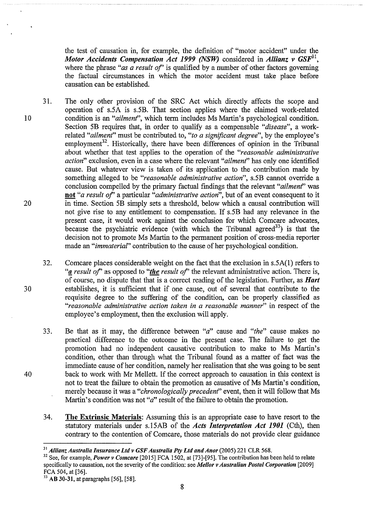the test of causation in, for example, the definition of "motor accident" under the *Motor Accidents Compensation Act 1999 (NSW)* considered in *Allianz v GSF*<sup>31</sup>, where the phrase "*as a result of*" is qualified by a number of other factors governing the factual circumstances in which the motor accident must take place before causation can be established.

- 31. The only other provision of the SRC Act which directly affects the scope and operation of s.5A is s.5B. That section applies where the claimed work-related condition is an *"ailment",* which term includes Ms Martin's psychological condition. Section 5B requires that, in order to qualify as a compensable *"disease"*, a workrelated *"ailment"* must be contributed to, *"to a significant degree",* by the employee's employment<sup>32</sup>. Historically, there have been differences of opinion in the Tribunal about whether that test applies to the operation of the *"reasonable administrative action"* exclusion, even in a case where the relevant *"ailment'* has only one identified cause. But whatever view is taken of its application to the contribution made by something alleged to be *"reasonable administrative action",* s.5B cannot override a conclusion compelled by the primary factual findings that the relevant *"ailment'* was not *"a result of'* a particular *"administrative action",* but of an event consequent to it in time. Section 5B simply sets a threshold, below which a causal contribution will not give rise to any entitlement to compensation. If s.5B had any relevance in the present case, it would work against the conclusion for which Comcare advocates, because the psychiatric evidence (with which the Tribunal agreed<sup>33</sup>) is that the decision not to promote Ms Martin to the permanent position of cross-media reporter made an *"immateriaf'* contribution to the cause of her psychological condition.
	- 32. Comcare places considerable weight on the fact that the exclusion in s.5A(l) refers to "*a result of*" as opposed to "*the result of*" the relevant administrative action. There is, of course, no dispute that that is a correct reading of the legislation. Further, as *Hart*  establishes, it is sufficient that if one cause, out of several that contribute to the requisite degree to the suffering of the condition, can be properly classified as *"reasonable administrative action taken in a reasonable manner"* in respect of the employee's employment, then the exclusion will apply.
	- 33. Be that as it may, the difference between *"a"* cause and *"the"* cause makes no practical difference to the outcome in the present case. The failure to get the promotion had no independent causative contribution to make to Ms Martin's condition, other than through what the Tribunal found as a matter of fact was the immediate cause of her condition, namely her realisation that she was going to be sent back to work with Mr Mellett. If the correct approach to causation in this context is not to treat the failure to obtain the promotion as causative of Ms Martin's condition, merely because it was a *"chronologically precedent'* event, then it will follow that Ms Martin's condition was not *"a"* result of the failure to obtain the promotion.
	- 34. The Extrinsic Materials: Assuming this is an appropriate case to have resort to the statutory materials under s.15AB of the *Acts Interpretation Act 1901* (Cth), then contrary to the contention of Comcare, those materials do not provide clear guidance

40

20

30

<sup>&</sup>lt;sup>31</sup> Allianz Australia Insurance Ltd v GSF Australia Pty Ltd and Anor (2005) 221 CLR 568.<br><sup>32</sup> See, for example, *Power v Comcare* [2015] FCA 1502, at [73]-[95]. The contribution has been held to relate specifically to causation, not the severity of the condition: see *Mellor v Australian Postal Corporation* [2009] FCA 504, at [36]. <sup>33</sup> **AB 30-31**, at paragraphs [56], [58].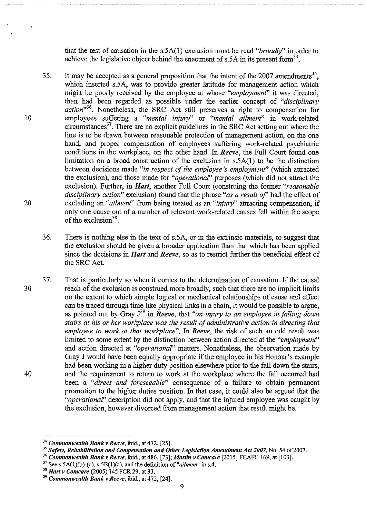that the test of causation in the s.SA(l) exclusion must be read *"broadly"* in order to achieve the legislative object behind the enactment of s.5A in its present form<sup>34</sup>.

- 35. It may be accepted as a general proposition that the intent of the 2007 amendments<sup>35</sup>. which inserted s.SA, was to provide greater latitude for management action which might be poorly received by the employee at whose "*employment*" it was directed, than had been regarded as possible under the earlier concept of *"disciplinary action"36•* Nonetheless, the SRC Act still preserves a right to compensation for employees suffering a *"mental injury"* or *"mental ailment"* in work-related circumstances37• There are no explicit guidelines in the SRC Act setting out where the line is to be drawn between reasonable protection of management action, on the one hand, and proper compensation of employees suffering work-related psychiatric conditions in the workplace, on the other hand. In *Reeve,* the Full Court found one limitation on a broad construction of the exclusion in s.SA(l) to be the distinction between decisions made "in *respect of the employee's employment'* (which attracted the exclusion), and those made for *"operational"* purposes (which did not attract the exclusion). Further, in *Hart,* another Full Court (construing the former *"reasonable disciplinary action"* exclusion) found that the phrase *"as a result of'* had the effect of excluding an *"ailment"* from being treated as an *"injury"* attracting compensation, if only one cause out of a number of relevant work-related causes fell within the scope of the exclusion $38$ .
- 36. There is nothing else in the text of s.5A, or in the extrinsic materials, to suggest that the exclusion should be given a broader application than that which has been applied since the decisions in *Hart* and *Reeve,* so as to restrict further the beneficial effect of the SRC Act.
- 37. That is particularly so when it comes to the determination of causation. If the causal reach of the exclusion is construed more broadly, such that there are no implicit limits on the extent to which simple logical or mechanical relationships of cause and effect can be traced through time like physical links in a chain, it would be possible to argue, as pointed out by Gray J 39 in *Reeve,* that *"an injury to an employee* in *falling down stairs at* his *or her workplace was the result of administrative action* in *directing that employee to work at that workplace".* In *Reeve,* the risk of such an odd result was limited to some extent by the distinction between action directed at the *"employment'*  and action directed at *"operational"* matters. Nonetheless, the observation made by Gray J would have been equally appropriate if the employee in his Honour's example had been working in a higher duty position elsewhere prior to the fall down the stairs, and the requirement to return to work at the workplace where the fall occurred had been a *"direct and foreseeable"* consequence of a failure to obtain permanent promotion to the higher duties position. In that case, it could also be argued that the *"operational"* description did not apply, and that the injured employee was caught by the exclusion, however divorced from management action that result might be.

10

20

30

<sup>&</sup>lt;sup>34</sup> Commonwealth Bank v Reeve, ibid., at 472, [25].<br><sup>35</sup> Safety, Rehabilitation and Compensation and Other Legislation Amendment Act 2007, No. 54 of 2007.

<sup>36</sup>*Commonwealth Bank v Reeve,* ibid., at 486, [73]; *Martin v Comcare* [2015] FCAFC 169, at [103].

<sup>&</sup>lt;sup>37</sup> See s.5A(1)(b)-(c), s.5B(1)(a), and the definition of "*ailment*" in s.4.<br><sup>38</sup> *Hart v Comcare* (2005) 145 FCR 29, at 33.<br><sup>39</sup> *Commonwealth Bank v Reeve*, ibid., at 472, [24].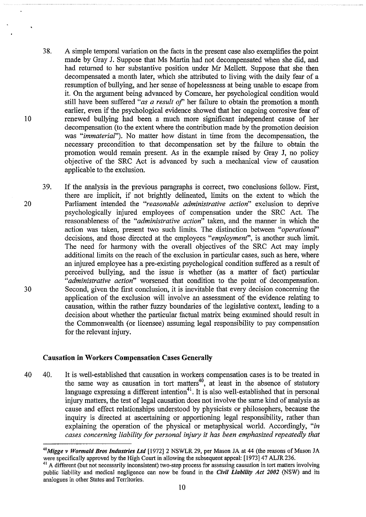- 38. A simple temporal variation on the facts in the present case also exemplifies the point made by Gray J. Suppose that Ms Martin had not decompensated when she did, and had returned to her substantive position under Mr Mellett. Suppose that she then decompensated a month later, which she attributed to living with the daily fear of a resumption of bullying, and her sense of hopelessness at being unable to escape from it. On the argument being advanced by Comcare, her psychological condition would still have been suffered *"as a result of'* her failure to obtain the promotion a month earlier, even if the psychological evidence showed that her ongoing corrosive fear of renewed bullying had been a much more significant independent cause of her decompensation (to the extent where the contribution made by the promotion decision was *"immaterial").* No matter how distant in time from the decompensation, the necessary precondition to that decompensation set by the failure to obtain the promotion would remain present. As in the example raised by Gray J, no policy objective of the SRC Act is advanced by such a mechanical view of causation applicable to the exclusion.
- 20 30 39. If the analysis in the previous paragraphs is correct, two conclusions follow. First, there are implicit, if not brightly delineated, limits on the extent to which the Parliament intended the *"reasonable administrative action"* exclusion to deprive psychologically injured employees of compensation under the SRC Act. The reasonableness of the *"administrative action"* taken, and the manner in which the action was taken, present two such limits. The distinction between *"operational''*  decisions, and those directed at the employees *"employmenf',* is another such limit. The need for harmony with the overall objectives of the SRC Act may imply additional limits on the reach of the exclusion in particular cases, such as here, where an injured employee has a pre-existing psychological condition suffered as a result of perceived bullying, and the issue is whether (as a matter of fact) particular *"administrative action"* worsened that condition to the point of decompensation. Second, given the first conclusion, it is inevitable that every decision concerning the application of the exclusion will involve an assessment of the evidence relating to causation, within the rather fuzzy boundaries of the legislative context, leading to a decision about whether the particular factual matrix being examined should result in the Commonwealth (or licensee) assuming legal responsibility to pay compensation for the relevant injury.

## **Causation in Workers Compensation** Cases **Generally**

10

40 40. It is well-established that causation in workers compensation cases is to be treated in the same way as causation in tort matters<sup>40</sup>, at least in the absence of statutory language expressing a different intention<sup>41</sup>. It is also well-established that in personal injury matters, the test of legal causation does not involve the same kind of analysis as cause and effect relationships understood by physicists or philosophers, because the inquiry is directed at ascertaining or apportioning legal responsibility, rather than explaining the operation of the physical or metaphysical world. Accordingly, *"in cases concerning liability for personal injury it has been emphasized repeatedly that* 

*<sup>40</sup>Migge v Wormald Bros Industries Ltd* [1972]2 NSWLR 29, per Mason JA at 44 (the reasons of Mason JA were specifically approved by the High Court in allowing the subsequent appeal: [1973] 47 ALJR 236.

<sup>&</sup>lt;sup>41</sup> A different (but not necessarily inconsistent) two-step process for assessing causation in tort matters involving public liability and medical negligence can now be found in the *Civil Liability Act 2002* (NSW) and its analogues in other States and Territories.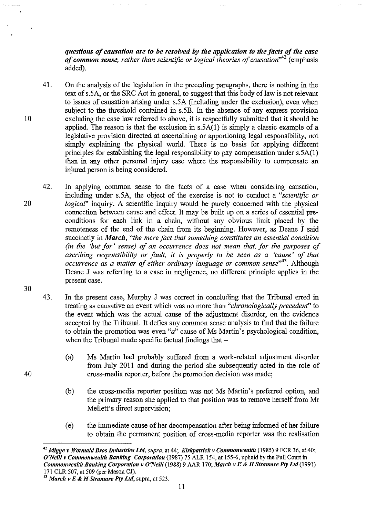*questions of causation are to be resolved by the application to the facts of the case of common sense, rather than scientific or logical theories of causation"42* (emphasis added).

- 41. On the analysis of the legislation in the preceding paragraphs, there is nothing in the text of s.5A, or the SRC Act in general, to suggest that this body of law is not relevant to issues of causation arising under s.5A (including under the exclusion), even when subject to the threshold contained in s.5B. In the absence of any express provision excluding the case law referred to above, it is respectfully submitted that it should be applied. The reason is that the exclusion in  $s.5A(1)$  is simply a classic example of a legislative provision directed at ascertaining or apportioning legal responsibility, not simply explaining the physical world. There is no basis for applying different principles for establishing the legal responsibility to pay compensation under s.5A(l) than in any other personal injury case where the responsibility to compensate an injured person is being considered.
- 20 42. In applying common sense to the facts of a case when considering causation, including under s.5A, the object of the exercise is not to conduct a *"scientific or logical"* inquiry. A scientific inquiry would be purely concerned with the physical connection between cause and effect. It may be built up on a series of essential preconditions for each link in a chain, without any obvious limit placed by the remoteness of the end of the chain from its beginning. However, as Deane J said succinctly in *March, "the mere fact that something constitutes an essential condition (in the 'but for' sense) of an occurrence does not mean that, for the purposes of ascribing responsibility or fault, it is properly to be seen as a 'cause' of that occurrence as a matter of either ordinary language or common sense"43 .* Although Deane J was referring to a case in negligence, no different principle applies in the present case.
	- 43. In the present case, Murphy J was correct in concluding that the Tribunal erred in treating as causative an event which was no more than *"chronologically precedent"* to the event which was the actual cause of the adjustment disorder, on the evidence accepted by the Tribunal. It defies any common sense analysis to find that the failure to obtain the promotion was even *"a"* cause of Ms Martin's psychological condition, when the Tribunal made specific factual findings that -
		- (a) Ms Martin had probably suffered from a work-related adjustment disorder from July 2011 and during the period she subsequently acted in the role of cross-media reporter, before the promotion decision was made;
		- (b) the cross-media reporter position was not Ms Martin's preferred option, and the primary reason she applied to that position was to remove herself from Mr Mellett's direct supervision;
		- (e) the immediate cause of her decompensation after being informed of her failure to obtain the permanent position of cross-media reporter was the realisation

40

30

<sup>42</sup>*Migge v Wormald Bros Industries Ltd, supra,* at 44; *Kirkpatrick v Commonwealtil* (1985) 9 FCR 36, at 40; *O'Neill v Commonwealtil Banking Corporation* (1987) 75 ALR 154, at !55-6, upheld by the Full Court in *Commonwea/til Bmzking Corporation v O'Neill* (1988) 9 AAR 170; *Marcil v E* & *H Stramare Pty Ltd* (1991) 171 CLR 507, at 509 (per Mason CJ). 43 *Marcil v E* & *H Stramare Pty Ltd,* supra, at 523.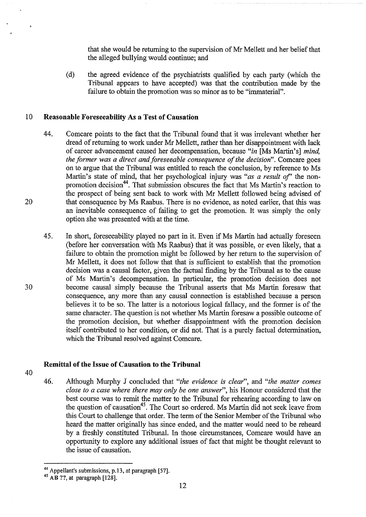that she would be returning to the supervision of Mr Mellett and her belief that the alleged bullying would continue; and

(d) the agreed evidence of the psychiatrists qualified by each party (which the Tribunal appears to have accepted) was that the contribution made by the failure to obtain the promotion was so minor as to be "immaterial".

#### 10 **Reasonable Foreseeability As a Test of Causation**

- 44. Comcare points to the fact that the Tribunal found that it was irrelevant whether her dread of returning to work under Mr Mellett, rather than her disappointment with lack of career advancement caused her decompensation, because *"in* [Ms Martin's] *mind, the former was a direct and foreseeable consequence of the decision".* Comcare goes on to argue that the Tribunal was entitled to reach the conclusion, by reference to Ms Martin's state of mind, that her psychological injury was *"as a result of'* the nonpromotion decision<sup>44</sup>. That submission obscures the fact that Ms Martin's reaction to the prospect of being sent back to work with Mr Mellett followed being advised of that consequence by Ms Raabus. There is no evidence, as noted earlier, that this was an inevitable consequence of failing to get the promotion. It was simply the only option she was presented with at the time.
- 45. In short, foreseeability played no part in it. Even if Ms Martin had actually foreseen (before her conversation with Ms Raabus) that it was possible, or even likely, that a failure to obtain the promotion might be followed by her return to the supervision of Mr Mellett, it does not follow that that is sufficient to establish that the promotion decision was a causal factor, given the factual finding by the Tribunal as to the cause of Ms Martin's decompensation. In particular, the promotion decision does not become causal simply because the Tribunal asserts that Ms Martin foresaw that consequence, any more than any causal connection is established because a person believes it to be so. The latter is a notorious logical fallacy, and the former is of the same character. The question is not whether Ms Martin foresaw a possible outcome of the promotion decision, but whether disappointment with the promotion decision itself contributed to her condition, or did not. That is a purely factual determination, which the Tribunal resolved against Comcare.

#### **Remittal of the Issue of Causation to the Tribunal**

40

20

30

46. Although Murphy J concluded that *"the evidence is clear",* and *"the matter comes close to a case where there may only be one answer",* his Honour considered that the best course was to remit the matter to the Tribunal for rehearing according to law on the question of causation<sup>45</sup>. The Court so ordered. Ms Martin did not seek leave from this Court to challenge that order. The term of the Senior Member of the Tribunal who heard the matter originally has since ended, and the matter would need to be reheard by a freshly constituted Tribunal. In those circumstances, Comcare would have an opportunity to explore any additional issues of fact that might be thought relevant to the issue of causation.

<sup>&</sup>lt;sup>44</sup> Appellant's submissions, p.13, at paragraph [57].<br><sup>45</sup> AB ??, at paragraph [128].